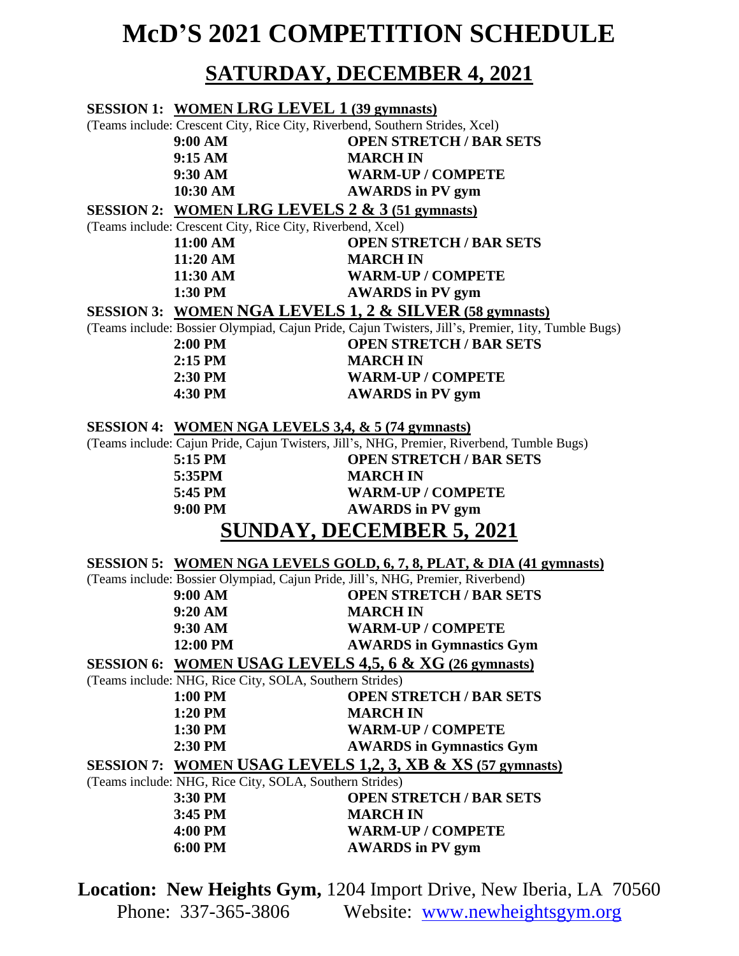## **McD'S 2021 COMPETITION SCHEDULE**

## **SATURDAY, DECEMBER 4, 2021**

|                                                                      | <b>SESSION 1: WOMEN LRG LEVEL 1 (39 gymnasts)</b>                                                  |                                                                                            |
|----------------------------------------------------------------------|----------------------------------------------------------------------------------------------------|--------------------------------------------------------------------------------------------|
|                                                                      | (Teams include: Crescent City, Rice City, Riverbend, Southern Strides, Xcel)                       |                                                                                            |
|                                                                      | 9:00 AM                                                                                            | <b>OPEN STRETCH / BAR SETS</b>                                                             |
|                                                                      | 9:15 AM                                                                                            | <b>MARCH IN</b>                                                                            |
|                                                                      | 9:30 AM                                                                                            | <b>WARM-UP / COMPETE</b>                                                                   |
|                                                                      | 10:30 AM                                                                                           | <b>AWARDS</b> in PV gym                                                                    |
|                                                                      | SESSION 2: WOMEN LRG LEVELS $2 \& 3 \times 3$ (51 gymnasts)                                        |                                                                                            |
|                                                                      | (Teams include: Crescent City, Rice City, Riverbend, Xcel)                                         |                                                                                            |
|                                                                      | 11:00 AM                                                                                           | <b>OPEN STRETCH / BAR SETS</b>                                                             |
|                                                                      | 11:20 AM                                                                                           | <b>MARCH IN</b>                                                                            |
|                                                                      | 11:30 AM                                                                                           | <b>WARM-UP / COMPETE</b>                                                                   |
|                                                                      | 1:30 PM                                                                                            | <b>AWARDS</b> in PV gym                                                                    |
|                                                                      |                                                                                                    | SESSION 3: WOMEN NGA LEVELS 1, 2 & SILVER (58 gymnasts)                                    |
|                                                                      | (Teams include: Bossier Olympiad, Cajun Pride, Cajun Twisters, Jill's, Premier, 1ity, Tumble Bugs) |                                                                                            |
|                                                                      | 2:00 PM                                                                                            | <b>OPEN STRETCH / BAR SETS</b>                                                             |
|                                                                      | $2:15$ PM                                                                                          | <b>MARCH IN</b>                                                                            |
|                                                                      | 2:30 PM                                                                                            | <b>WARM-UP / COMPETE</b>                                                                   |
|                                                                      | 4:30 PM                                                                                            | <b>AWARDS</b> in PV gym                                                                    |
| SESSION 4: WOMEN NGA LEVELS 3,4, & 5 (74 gymnasts)                   |                                                                                                    |                                                                                            |
|                                                                      |                                                                                                    | (Teams include: Cajun Pride, Cajun Twisters, Jill's, NHG, Premier, Riverbend, Tumble Bugs) |
|                                                                      | 5:15 PM                                                                                            | <b>OPEN STRETCH / BAR SETS</b>                                                             |
|                                                                      | 5:35PM                                                                                             | <b>MARCH IN</b>                                                                            |
|                                                                      | 5:45 PM                                                                                            | <b>WARM-UP / COMPETE</b>                                                                   |
|                                                                      | 9:00 PM                                                                                            | <b>AWARDS</b> in PV gym                                                                    |
| <b>SUNDAY, DECEMBER 5, 2021</b>                                      |                                                                                                    |                                                                                            |
| SESSION 5: WOMEN NGA LEVELS GOLD, 6, 7, 8, PLAT, & DIA (41 gymnasts) |                                                                                                    |                                                                                            |
|                                                                      |                                                                                                    | (Teams include: Bossier Olympiad, Cajun Pride, Jill's, NHG, Premier, Riverbend)            |
|                                                                      | 9:00 AM                                                                                            | <b>OPEN STRETCH / BAR SETS</b>                                                             |
|                                                                      | 9:20 AM                                                                                            | <b>MARCH IN</b>                                                                            |
|                                                                      | 9:30 AM                                                                                            | <b>WARM-UP / COMPETE</b>                                                                   |
|                                                                      | 12:00 PM                                                                                           | <b>AWARDS</b> in Gymnastics Gym                                                            |
|                                                                      |                                                                                                    | SESSION 6: WOMEN USAG LEVELS 4,5, 6 & XG (26 gymnasts)                                     |
| (Teams include: NHG, Rice City, SOLA, Southern Strides)              |                                                                                                    |                                                                                            |
|                                                                      | 1:00 PM                                                                                            | <b>OPEN STRETCH / BAR SETS</b>                                                             |
|                                                                      | 1:20 PM                                                                                            | <b>MARCH IN</b>                                                                            |
|                                                                      | 1:30 PM                                                                                            | <b>WARM-UP / COMPETE</b>                                                                   |
|                                                                      | 2:30 PM                                                                                            | <b>AWARDS</b> in Gymnastics Gym                                                            |
|                                                                      |                                                                                                    | SESSION 7: WOMEN USAG LEVELS 1,2, 3, XB & XS (57 gymnasts)                                 |
|                                                                      | (Teams include: NHG, Rice City, SOLA, Southern Strides)                                            |                                                                                            |
|                                                                      | 3:30 PM                                                                                            | <b>OPEN STRETCH / BAR SETS</b>                                                             |
|                                                                      | 3:45 PM                                                                                            | <b>MARCH IN</b>                                                                            |
|                                                                      | 4:00 PM                                                                                            | <b>WARM-UP / COMPETE</b>                                                                   |
|                                                                      | 6:00 PM                                                                                            | <b>AWARDS</b> in PV gym                                                                    |
|                                                                      |                                                                                                    |                                                                                            |

**Location: New Heights Gym,** 1204 Import Drive, New Iberia, LA 70560 Phone: 337-365-3806 Website: [www.newheightsgym.org](http://www.newheightsgym.org/)